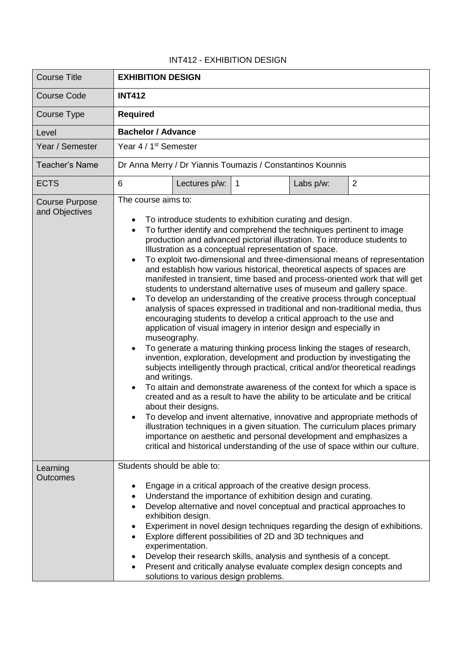## INT412 - EXHIBITION DESIGN

| <b>Course Title</b>                     | <b>EXHIBITION DESIGN</b>                                                                                                                                                                                                                                                                                                                                                                                                                                                                                                                                                                                                                                                                                                                                                                                                                                                                                                                                                                                                                                                                                                                                                                                                                                                                                                                                                                                                                                                                                                                                                                                                                                                                                               |               |                |           |   |
|-----------------------------------------|------------------------------------------------------------------------------------------------------------------------------------------------------------------------------------------------------------------------------------------------------------------------------------------------------------------------------------------------------------------------------------------------------------------------------------------------------------------------------------------------------------------------------------------------------------------------------------------------------------------------------------------------------------------------------------------------------------------------------------------------------------------------------------------------------------------------------------------------------------------------------------------------------------------------------------------------------------------------------------------------------------------------------------------------------------------------------------------------------------------------------------------------------------------------------------------------------------------------------------------------------------------------------------------------------------------------------------------------------------------------------------------------------------------------------------------------------------------------------------------------------------------------------------------------------------------------------------------------------------------------------------------------------------------------------------------------------------------------|---------------|----------------|-----------|---|
| <b>Course Code</b>                      | <b>INT412</b>                                                                                                                                                                                                                                                                                                                                                                                                                                                                                                                                                                                                                                                                                                                                                                                                                                                                                                                                                                                                                                                                                                                                                                                                                                                                                                                                                                                                                                                                                                                                                                                                                                                                                                          |               |                |           |   |
| Course Type                             | <b>Required</b>                                                                                                                                                                                                                                                                                                                                                                                                                                                                                                                                                                                                                                                                                                                                                                                                                                                                                                                                                                                                                                                                                                                                                                                                                                                                                                                                                                                                                                                                                                                                                                                                                                                                                                        |               |                |           |   |
| Level                                   | <b>Bachelor / Advance</b>                                                                                                                                                                                                                                                                                                                                                                                                                                                                                                                                                                                                                                                                                                                                                                                                                                                                                                                                                                                                                                                                                                                                                                                                                                                                                                                                                                                                                                                                                                                                                                                                                                                                                              |               |                |           |   |
| Year / Semester                         | Year 4 / 1 <sup>st</sup> Semester                                                                                                                                                                                                                                                                                                                                                                                                                                                                                                                                                                                                                                                                                                                                                                                                                                                                                                                                                                                                                                                                                                                                                                                                                                                                                                                                                                                                                                                                                                                                                                                                                                                                                      |               |                |           |   |
| <b>Teacher's Name</b>                   | Dr Anna Merry / Dr Yiannis Toumazis / Constantinos Kounnis                                                                                                                                                                                                                                                                                                                                                                                                                                                                                                                                                                                                                                                                                                                                                                                                                                                                                                                                                                                                                                                                                                                                                                                                                                                                                                                                                                                                                                                                                                                                                                                                                                                             |               |                |           |   |
| <b>ECTS</b>                             | 6                                                                                                                                                                                                                                                                                                                                                                                                                                                                                                                                                                                                                                                                                                                                                                                                                                                                                                                                                                                                                                                                                                                                                                                                                                                                                                                                                                                                                                                                                                                                                                                                                                                                                                                      | Lectures p/w: | $\overline{1}$ | Labs p/w: | 2 |
| <b>Course Purpose</b><br>and Objectives | The course aims to:<br>To introduce students to exhibition curating and design.<br>$\bullet$<br>To further identify and comprehend the techniques pertinent to image<br>$\bullet$<br>production and advanced pictorial illustration. To introduce students to<br>Illustration as a conceptual representation of space.<br>To exploit two-dimensional and three-dimensional means of representation<br>and establish how various historical, theoretical aspects of spaces are<br>manifested in transient, time based and process-oriented work that will get<br>students to understand alternative uses of museum and gallery space.<br>To develop an understanding of the creative process through conceptual<br>analysis of spaces expressed in traditional and non-traditional media, thus<br>encouraging students to develop a critical approach to the use and<br>application of visual imagery in interior design and especially in<br>museography.<br>To generate a maturing thinking process linking the stages of research,<br>invention, exploration, development and production by investigating the<br>subjects intelligently through practical, critical and/or theoretical readings<br>and writings.<br>To attain and demonstrate awareness of the context for which a space is<br>created and as a result to have the ability to be articulate and be critical<br>about their designs.<br>To develop and invent alternative, innovative and appropriate methods of<br>illustration techniques in a given situation. The curriculum places primary<br>importance on aesthetic and personal development and emphasizes a<br>critical and historical understanding of the use of space within our culture. |               |                |           |   |
| Learning<br><b>Outcomes</b>             | Students should be able to:<br>Engage in a critical approach of the creative design process.<br>Understand the importance of exhibition design and curating.<br>$\bullet$<br>Develop alternative and novel conceptual and practical approaches to<br>$\bullet$<br>exhibition design.<br>Experiment in novel design techniques regarding the design of exhibitions.<br>Explore different possibilities of 2D and 3D techniques and<br>$\bullet$<br>experimentation.<br>Develop their research skills, analysis and synthesis of a concept.                                                                                                                                                                                                                                                                                                                                                                                                                                                                                                                                                                                                                                                                                                                                                                                                                                                                                                                                                                                                                                                                                                                                                                              |               |                |           |   |
|                                         | Present and critically analyse evaluate complex design concepts and<br>solutions to various design problems.                                                                                                                                                                                                                                                                                                                                                                                                                                                                                                                                                                                                                                                                                                                                                                                                                                                                                                                                                                                                                                                                                                                                                                                                                                                                                                                                                                                                                                                                                                                                                                                                           |               |                |           |   |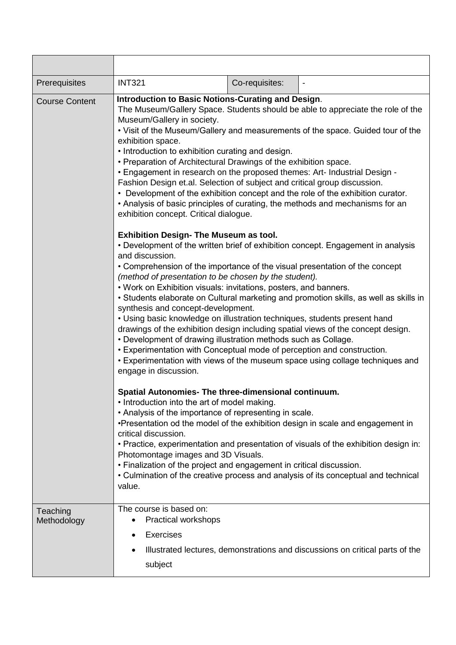| Prerequisites           | <b>INT321</b><br>Co-requisites:                                                                                                                                                                                                                                                                                                                                                                                                                                                                                                                                                                                                                                                                                                                                                                                                                                                                                        |  |  |  |  |
|-------------------------|------------------------------------------------------------------------------------------------------------------------------------------------------------------------------------------------------------------------------------------------------------------------------------------------------------------------------------------------------------------------------------------------------------------------------------------------------------------------------------------------------------------------------------------------------------------------------------------------------------------------------------------------------------------------------------------------------------------------------------------------------------------------------------------------------------------------------------------------------------------------------------------------------------------------|--|--|--|--|
| <b>Course Content</b>   | <b>Introduction to Basic Notions-Curating and Design.</b><br>The Museum/Gallery Space. Students should be able to appreciate the role of the<br>Museum/Gallery in society.<br>. Visit of the Museum/Gallery and measurements of the space. Guided tour of the<br>exhibition space.<br>• Introduction to exhibition curating and design.<br>• Preparation of Architectural Drawings of the exhibition space.<br>. Engagement in research on the proposed themes: Art- Industrial Design -<br>Fashion Design et.al. Selection of subject and critical group discussion.<br>• Development of the exhibition concept and the role of the exhibition curator.<br>• Analysis of basic principles of curating, the methods and mechanisms for an<br>exhibition concept. Critical dialogue.                                                                                                                                    |  |  |  |  |
|                         | <b>Exhibition Design- The Museum as tool.</b><br>• Development of the written brief of exhibition concept. Engagement in analysis<br>and discussion.<br>• Comprehension of the importance of the visual presentation of the concept<br>(method of presentation to be chosen by the student).<br>. Work on Exhibition visuals: invitations, posters, and banners.<br>• Students elaborate on Cultural marketing and promotion skills, as well as skills in<br>synthesis and concept-development.<br>• Using basic knowledge on illustration techniques, students present hand<br>drawings of the exhibition design including spatial views of the concept design.<br>• Development of drawing illustration methods such as Collage.<br>• Experimentation with Conceptual mode of perception and construction.<br>• Experimentation with views of the museum space using collage techniques and<br>engage in discussion. |  |  |  |  |
|                         | Spatial Autonomies- The three-dimensional continuum.<br>• Introduction into the art of model making.<br>• Analysis of the importance of representing in scale.<br>•Presentation od the model of the exhibition design in scale and engagement in<br>critical discussion.<br>. Practice, experimentation and presentation of visuals of the exhibition design in:<br>Photomontage images and 3D Visuals.<br>• Finalization of the project and engagement in critical discussion.<br>• Culmination of the creative process and analysis of its conceptual and technical<br>value.                                                                                                                                                                                                                                                                                                                                        |  |  |  |  |
| Teaching<br>Methodology | The course is based on:<br>Practical workshops<br><b>Exercises</b><br>Illustrated lectures, demonstrations and discussions on critical parts of the<br>subject                                                                                                                                                                                                                                                                                                                                                                                                                                                                                                                                                                                                                                                                                                                                                         |  |  |  |  |